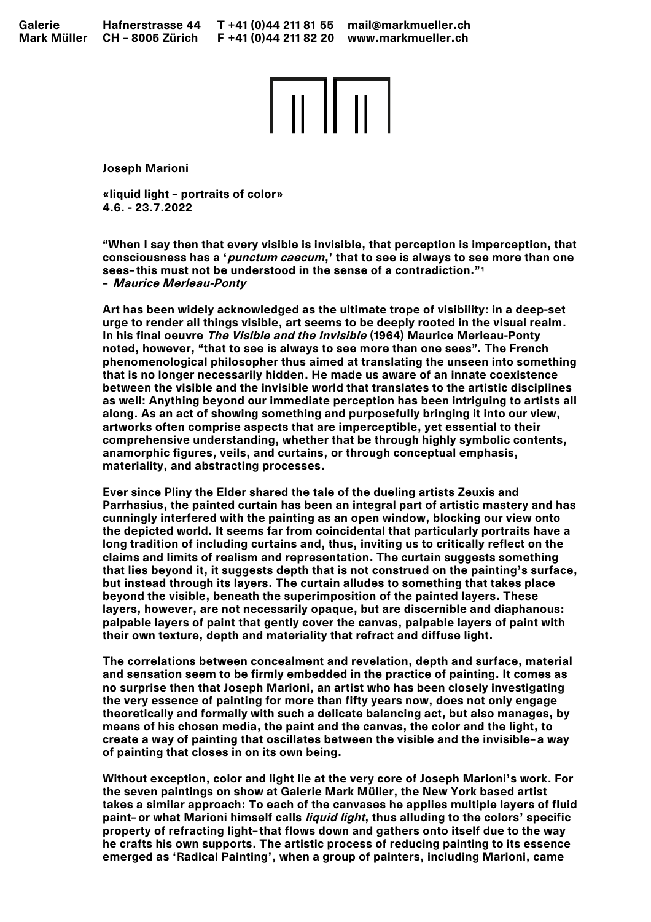

Joseph Marioni

«liquid light – portraits of color» 4.6. - 23.7.2022

"When I say then that every visible is invisible, that perception is imperception, that consciousness has a 'punctum caecum,' that to see is always to see more than one sees-this must not be understood in the sense of a contradiction."<sup>1</sup> — Maurice Merleau-Ponty

Art has been widely acknowledged as the ultimate trope of visibility: in a deep-set urge to render all things visible, art seems to be deeply rooted in the visual realm. In his final oeuvre The Visible and the Invisible (1964) Maurice Merleau-Ponty noted, however, "that to see is always to see more than one sees". The French phenomenological philosopher thus aimed at translating the unseen into something that is no longer necessarily hidden. He made us aware of an innate coexistence between the visible and the invisible world that translates to the artistic disciplines as well: Anything beyond our immediate perception has been intriguing to artists all along. As an act of showing something and purposefully bringing it into our view, artworks often comprise aspects that are imperceptible, yet essential to their comprehensive understanding, whether that be through highly symbolic contents, anamorphic figures, veils, and curtains, or through conceptual emphasis, materiality, and abstracting processes.

Ever since Pliny the Elder shared the tale of the dueling artists Zeuxis and Parrhasius, the painted curtain has been an integral part of artistic mastery and has cunningly interfered with the painting as an open window, blocking our view onto the depicted world. It seems far from coincidental that particularly portraits have a long tradition of including curtains and, thus, inviting us to critically reflect on the claims and limits of realism and representation. The curtain suggests something that lies beyond it, it suggests depth that is not construed on the painting's surface, but instead through its layers. The curtain alludes to something that takes place beyond the visible, beneath the superimposition of the painted layers. These layers, however, are not necessarily opaque, but are discernible and diaphanous: palpable layers of paint that gently cover the canvas, palpable layers of paint with their own texture, depth and materiality that refract and diffuse light.

The correlations between concealment and revelation, depth and surface, material and sensation seem to be firmly embedded in the practice of painting. It comes as no surprise then that Joseph Marioni, an artist who has been closely investigating the very essence of painting for more than fifty years now, does not only engage theoretically and formally with such a delicate balancing act, but also manages, by means of his chosen media, the paint and the canvas, the color and the light, to create a way of painting that oscillates between the visible and the invisible—a way of painting that closes in on its own being.

Without exception, color and light lie at the very core of Joseph Marioni's work. For the seven paintings on show at Galerie Mark Müller, the New York based artist takes a similar approach: To each of the canvases he applies multiple layers of fluid paint-or what Marioni himself calls *liquid light*, thus alluding to the colors' specific property of refracting light—that flows down and gathers onto itself due to the way he crafts his own supports. The artistic process of reducing painting to its essence emerged as 'Radical Painting', when a group of painters, including Marioni, came